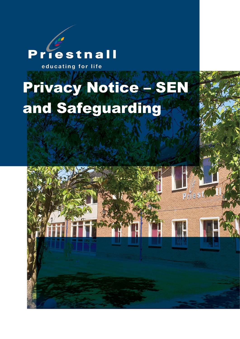## riestnall D educating for life

# Privacy Notice – SEN and Safeguarding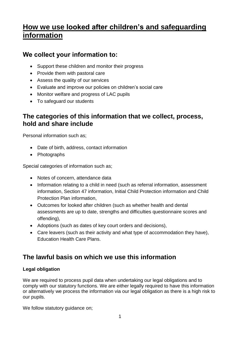## **How we use looked after children's and safeguarding information**

#### **We collect your information to:**

- Support these children and monitor their progress
- Provide them with pastoral care
- Assess the quality of our services
- Evaluate and improve our policies on children's social care
- Monitor welfare and progress of LAC pupils
- To safeguard our students

#### **The categories of this information that we collect, process, hold and share include**

Personal information such as;

- Date of birth, address, contact information
- Photographs

Special categories of information such as;

- Notes of concern, attendance data
- Information relating to a child in need (such as referral information, assessment information, Section 47 information, Initial Child Protection information and Child Protection Plan information,
- Outcomes for looked after children (such as whether health and dental assessments are up to date, strengths and difficulties questionnaire scores and offending),
- Adoptions (such as dates of key court orders and decisions),
- Care leavers (such as their activity and what type of accommodation they have), Education Health Care Plans.

### **The lawful basis on which we use this information**

#### **Legal obligation**

We are required to process pupil data when undertaking our legal obligations and to comply with our statutory functions. We are either legally required to have this information or alternatively we process the information via our legal obligation as there is a high risk to our pupils.

We follow statutory guidance on;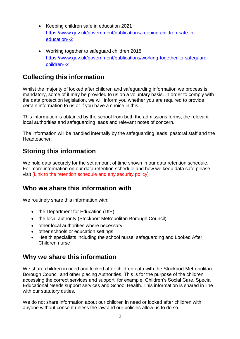- Keeping children safe in education 2021 [https://www.gov.uk/government/publications/keeping-children-safe-in](https://www.gov.uk/government/publications/keeping-children-safe-in-education--2)[education--2](https://www.gov.uk/government/publications/keeping-children-safe-in-education--2)
- Working together to safeguard children 2018 [https://www.gov.uk/government/publications/working-together-to-safeguard](https://www.gov.uk/government/publications/working-together-to-safeguard-children--2)[children--2](https://www.gov.uk/government/publications/working-together-to-safeguard-children--2)

#### **Collecting this information**

Whilst the majority of looked after children and safeguarding information we process is mandatory, some of it may be provided to us on a voluntary basis. In order to comply with the data protection legislation, we will inform you whether you are required to provide certain information to us or if you have a choice in this.

This information is obtained by the school from both the admissions forms, the relevant local authorities and safeguarding leads and relevant notes of concern.

The information will be handled internally by the safeguarding leads, pastoral staff and the Headteacher.

#### **Storing this information**

We hold data securely for the set amount of time shown in our data retention schedule. For more information on our data retention schedule and how we keep data safe please visit [Link to the retention schedule and any security policy]

#### **Who we share this information with**

We routinely share this information with:

- the Department for Education (DfE)
- the local authority (Stockport Metropolitan Borough Council)
- other local authorities where necessary
- other schools or education settings
- Health specialists including the school nurse, safeguarding and Looked After Children nurse

#### **Why we share this information**

We share children in need and looked after children data with the Stockport Metropolitan Borough Council and other placing Authorities. This is for the purpose of the children accessing the correct services and support, for example, Children's Social Care, Special Educational Needs support services and School Health. This information is shared in line with our statutory duties.

We do not share information about our children in need or looked after children with anyone without consent unless the law and our policies allow us to do so.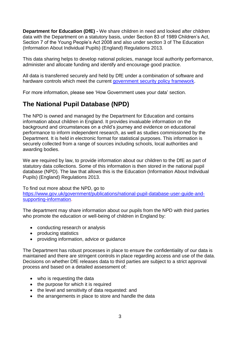**Department for Education (DfE) -** We share children in need and looked after children data with the Department on a statutory basis, under Section 83 of 1989 Children's Act, Section 7 of the Young People's Act 2008 and also under section 3 of The Education (Information About Individual Pupils) (England) Regulations 2013.

This data sharing helps to develop national policies, manage local authority performance, administer and allocate funding and identify and encourage good practice.

All data is transferred securely and held by DfE under a combination of software and hardware controls which meet the current [government security policy framework.](https://www.gov.uk/government/publications/security-policy-framework)

For more information, please see 'How Government uses your data' section.

#### **The National Pupil Database (NPD)**

The NPD is owned and managed by the Department for Education and contains information about children in England. It provides invaluable information on the background and circumstances on a child's journey and evidence on educational performance to inform independent research, as well as studies commissioned by the Department. It is held in electronic format for statistical purposes. This information is securely collected from a range of sources including schools, local authorities and awarding bodies.

We are required by law, to provide information about our children to the DfE as part of statutory data collections. Some of this information is then stored in the national pupil database (NPD). The law that allows this is the Education (Information About Individual Pupils) (England) Regulations 2013.

To find out more about the NPD, go to

[https://www.gov.uk/government/publications/national-pupil-database-user-guide-and](https://www.gov.uk/government/publications/national-pupil-database-user-guide-and-supporting-information)[supporting-information.](https://www.gov.uk/government/publications/national-pupil-database-user-guide-and-supporting-information)

The department may share information about our pupils from the NPD with third parties who promote the education or well-being of children in England by:

- conducting research or analysis
- producing statistics
- providing information, advice or guidance

The Department has robust processes in place to ensure the confidentiality of our data is maintained and there are stringent controls in place regarding access and use of the data. Decisions on whether DfE releases data to third parties are subject to a strict approval process and based on a detailed assessment of:

- who is requesting the data
- the purpose for which it is required
- the level and sensitivity of data requested: and
- the arrangements in place to store and handle the data